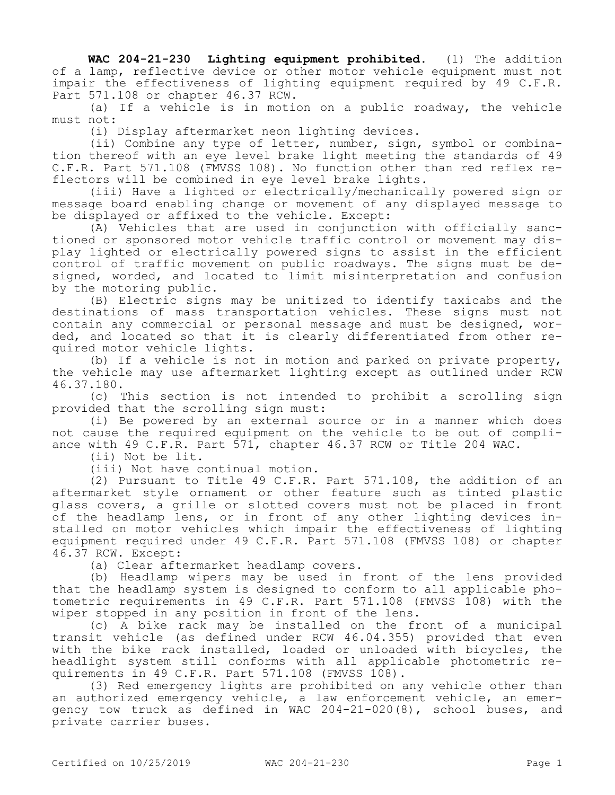**WAC 204-21-230 Lighting equipment prohibited.** (1) The addition of a lamp, reflective device or other motor vehicle equipment must not impair the effectiveness of lighting equipment required by 49 C.F.R. Part 571.108 or chapter 46.37 RCW.

(a) If a vehicle is in motion on a public roadway, the vehicle must not:

(i) Display aftermarket neon lighting devices.

(ii) Combine any type of letter, number, sign, symbol or combination thereof with an eye level brake light meeting the standards of 49 C.F.R. Part 571.108 (FMVSS 108). No function other than red reflex reflectors will be combined in eye level brake lights.

(iii) Have a lighted or electrically/mechanically powered sign or message board enabling change or movement of any displayed message to be displayed or affixed to the vehicle. Except:

(A) Vehicles that are used in conjunction with officially sanctioned or sponsored motor vehicle traffic control or movement may display lighted or electrically powered signs to assist in the efficient control of traffic movement on public roadways. The signs must be designed, worded, and located to limit misinterpretation and confusion by the motoring public.

(B) Electric signs may be unitized to identify taxicabs and the destinations of mass transportation vehicles. These signs must not contain any commercial or personal message and must be designed, worded, and located so that it is clearly differentiated from other required motor vehicle lights.

(b) If a vehicle is not in motion and parked on private property, the vehicle may use aftermarket lighting except as outlined under RCW 46.37.180.

(c) This section is not intended to prohibit a scrolling sign provided that the scrolling sign must:

(i) Be powered by an external source or in a manner which does not cause the required equipment on the vehicle to be out of compliance with 49 C.F.R. Part 571, chapter 46.37 RCW or Title 204 WAC.

(ii) Not be lit.

(iii) Not have continual motion.

(2) Pursuant to Title 49 C.F.R. Part 571.108, the addition of an aftermarket style ornament or other feature such as tinted plastic glass covers, a grille or slotted covers must not be placed in front of the headlamp lens, or in front of any other lighting devices installed on motor vehicles which impair the effectiveness of lighting equipment required under 49 C.F.R. Part 571.108 (FMVSS 108) or chapter 46.37 RCW. Except:

(a) Clear aftermarket headlamp covers.

(b) Headlamp wipers may be used in front of the lens provided that the headlamp system is designed to conform to all applicable photometric requirements in 49 C.F.R. Part 571.108 (FMVSS 108) with the wiper stopped in any position in front of the lens.

(c) A bike rack may be installed on the front of a municipal transit vehicle (as defined under RCW 46.04.355) provided that even with the bike rack installed, loaded or unloaded with bicycles, the headlight system still conforms with all applicable photometric requirements in 49 C.F.R. Part 571.108 (FMVSS 108).

(3) Red emergency lights are prohibited on any vehicle other than an authorized emergency vehicle, a law enforcement vehicle, an emergency tow truck as defined in WAC 204-21-020(8), school buses, and private carrier buses.